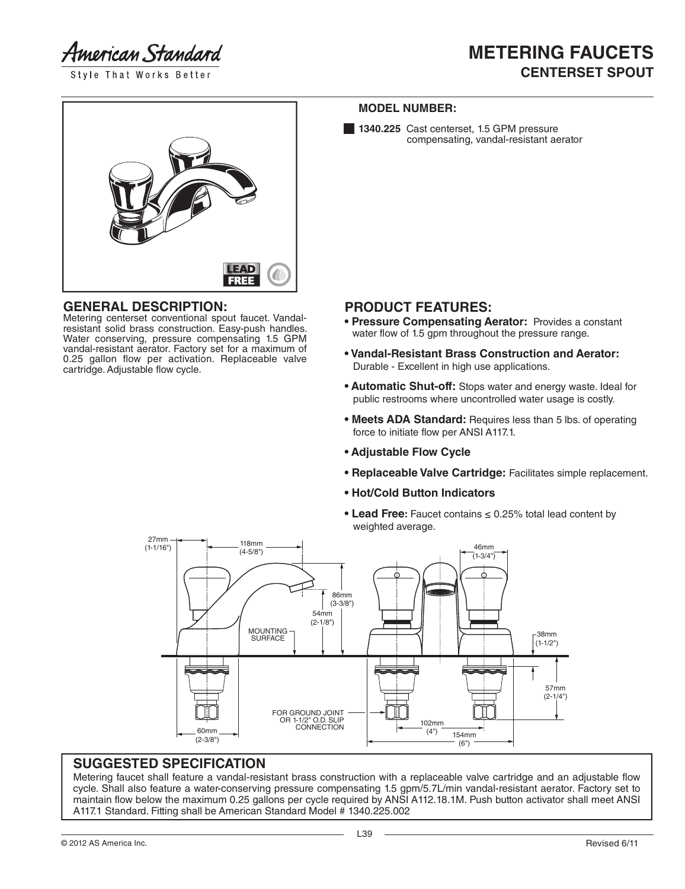American Standard

Style That Works Better



#### **GENERAL DESCRIPTION:**

Metering centerset conventional spout faucet. Vandalresistant solid brass construction. Easy-push handles. Water conserving, pressure compensating 1.5 GPM vandal-resistant aerator. Factory set for a maximum of 0.25 gallon flow per activation. Replaceable valve cartridge. Adjustable flow cycle.

#### **MODEL NUMBER:**

1340.225 Cast centerset, 1.5 GPM pressure compensating, vandal-resistant aerator

## **PRODUCT FEATURES:**

- **Pressure Compensating Aerator:** Provides a constant water flow of 1.5 gpm throughout the pressure range.
- **Vandal-Resistant Brass Construction and Aerator:** Durable - Excellent in high use applications.
- **Automatic Shut-off:** Stops water and energy waste. Ideal for public restrooms where uncontrolled water usage is costly.
- **Meets ADA Standard:** Requires less than 5 lbs. of operating force to initiate flow per ANSI A117.1.
- **Adjustable Flow Cycle**
- **Replaceable Valve Cartridge:** Facilitates simple replacement.
- **Hot/Cold Button Indicators**
- **Lead Free:** Faucet contains ≤ 0.25% total lead content by weighted average.



## **SUGGESTED SPECIFICATION**

Metering faucet shall feature a vandal-resistant brass construction with a replaceable valve cartridge and an adjustable flow cycle. Shall also feature a water-conserving pressure compensating 1.5 gpm/5.7L/min vandal-resistant aerator. Factory set to maintain flow below the maximum 0.25 gallons per cycle required by ANSI A112.18.1M. Push button activator shall meet ANSI A117.1 Standard. Fitting shall be American Standard Model # 1340.225.002